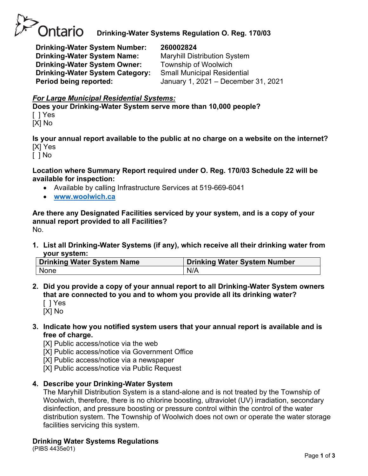

# **Drinking-Water Systems Regulation O. Reg. 170/03**

**Drinking-Water System Number: 260002824 Drinking-Water System Name:** Maryhill Distribution System **Drinking-Water System Owner:** Township of Woolwich **Drinking-Water System Category:** Small Municipal Residential

**Period being reported:** January 1, 2021 – December 31, 2021

# *For Large Municipal Residential Systems:*

**Does your Drinking-Water System serve more than 10,000 people?** [ ] Yes

[X] No

**Is your annual report available to the public at no charge on a website on the internet?** [X] Yes

[ ] No

**Location where Summary Report required under O. Reg. 170/03 Schedule 22 will be available for inspection:**

- Available by calling Infrastructure Services at 519-669-6041
- **[www.woolwich.ca](http://www.woolwich.ca/)**

**Are there any Designated Facilities serviced by your system, and is a copy of your annual report provided to all Facilities?** No.

**1. List all Drinking-Water Systems (if any), which receive all their drinking water from your system:**

| <b>Drinking Water System Name</b> | <b>Drinking Water System Number</b> |
|-----------------------------------|-------------------------------------|
| None                              | N/A                                 |

**2. Did you provide a copy of your annual report to all Drinking-Water System owners that are connected to you and to whom you provide all its drinking water?**  [ ] Yes

[X] No

**3. Indicate how you notified system users that your annual report is available and is free of charge.** 

[X] Public access/notice via the web

[X] Public access/notice via Government Office

[X] Public access/notice via a newspaper

[X] Public access/notice via Public Request

### **4. Describe your Drinking-Water System**

The Maryhill Distribution System is a stand-alone and is not treated by the Township of Woolwich, therefore, there is no chlorine boosting, ultraviolet (UV) irradiation, secondary disinfection, and pressure boosting or pressure control within the control of the water distribution system. The Township of Woolwich does not own or operate the water storage facilities servicing this system.

### **Drinking Water Systems Regulations**

(PIBS 4435e01)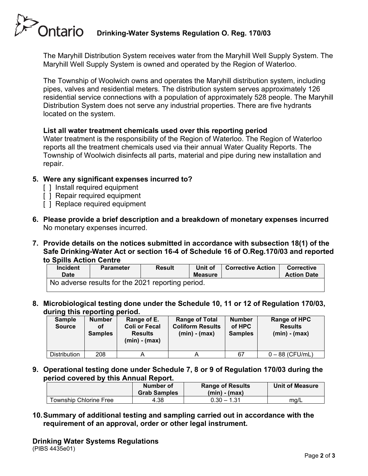# **Ontario Drinking-Water Systems Regulation O. Reg. 170/03**

The Maryhill Distribution System receives water from the Maryhill Well Supply System. The Maryhill Well Supply System is owned and operated by the Region of Waterloo.

The Township of Woolwich owns and operates the Maryhill distribution system, including pipes, valves and residential meters. The distribution system serves approximately 126 residential service connections with a population of approximately 528 people. The Maryhill Distribution System does not serve any industrial properties. There are five hydrants located on the system.

# **List all water treatment chemicals used over this reporting period**

Water treatment is the responsibility of the Region of Waterloo. The Region of Waterloo reports all the treatment chemicals used via their annual Water Quality Reports. The Township of Woolwich disinfects all parts, material and pipe during new installation and repair.

- **5. Were any significant expenses incurred to?** 
	- [ ] Install required equipment
	- [ ] Repair required equipment
	- [ ] Replace required equipment
- **6. Please provide a brief description and a breakdown of monetary expenses incurred** No monetary expenses incurred.
- **7. Provide details on the notices submitted in accordance with subsection 18(1) of the Safe Drinking-Water Act or section 16-4 of Schedule 16 of O.Reg.170/03 and reported to Spills Action Centre**

| Incident<br><b>Date</b> | <b>Parameter</b>                                  | <b>Result</b> | Unit of<br>Measure | <b>Corrective Action</b> | <b>Corrective</b><br><b>Action Date</b> |
|-------------------------|---------------------------------------------------|---------------|--------------------|--------------------------|-----------------------------------------|
|                         | No adverse results for the 2021 reporting period. |               |                    |                          |                                         |

**8. Microbiological testing done under the Schedule 10, 11 or 12 of Regulation 170/03, during this reporting period.**

| <b>Sample</b><br><b>Source</b> | <b>Number</b><br><b>of</b><br><b>Samples</b> | Range of E.<br><b>Coli or Fecal</b><br><b>Results</b><br>$(min) - (max)$ | <b>Range of Total</b><br><b>Coliform Results</b><br>$(min) - (max)$ | <b>Number</b><br>of HPC<br><b>Samples</b> | Range of HPC<br><b>Results</b><br>$(min) - (max)$ |
|--------------------------------|----------------------------------------------|--------------------------------------------------------------------------|---------------------------------------------------------------------|-------------------------------------------|---------------------------------------------------|
| Distribution                   | 208                                          |                                                                          |                                                                     | 67                                        | $0 - 88$ (CFU/mL)                                 |

**9. Operational testing done under Schedule 7, 8 or 9 of Regulation 170/03 during the period covered by this Annual Report.**

|                               | Number of<br><b>Grab Samples</b> | <b>Range of Results</b><br>$(min) - (max)$ | <b>Unit of Measure</b> |
|-------------------------------|----------------------------------|--------------------------------------------|------------------------|
| <b>Township Chlorine Free</b> | 4.38                             | $0.30 - 1.31$                              | ma/L                   |

**10.Summary of additional testing and sampling carried out in accordance with the requirement of an approval, order or other legal instrument.**